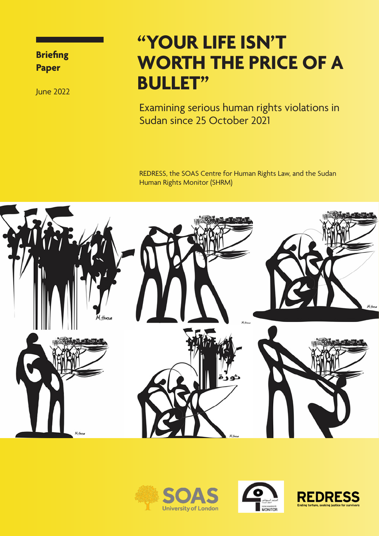**Briefing Paper**

June 2022

### **"YOUR LIFE ISN'T WORTH THE PRICE OF A BULLET"**

Examining serious human rights violations in Sudan since 25 October 2021

REDRESS, the SOAS Centre for Human Rights Law, and the Sudan Human Rights Monitor (SHRM)







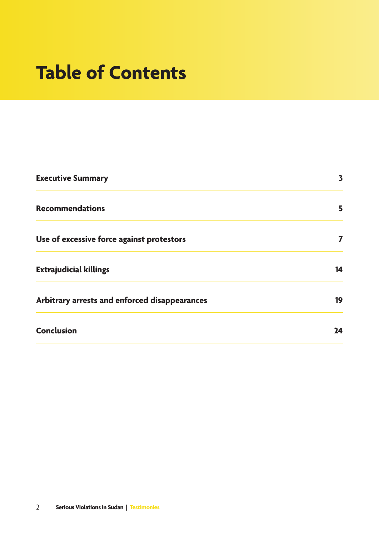## **Table of Contents**

| <b>Executive Summary</b>                      | $\overline{\mathbf{3}}$ |
|-----------------------------------------------|-------------------------|
| <b>Recommendations</b>                        | 5                       |
| Use of excessive force against protestors     | 7                       |
| <b>Extrajudicial killings</b>                 | 14                      |
| Arbitrary arrests and enforced disappearances | 19                      |
| <b>Conclusion</b>                             | 24                      |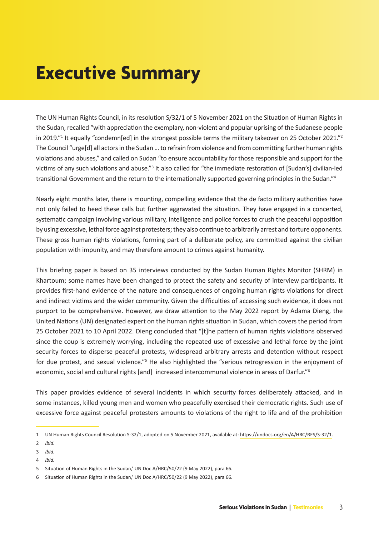## **Executive Summary**

The UN Human Rights Council, in its resolution S/32/1 of 5 November 2021 on the Situation of Human Rights in the Sudan, recalled "with appreciation the exemplary, non-violent and popular uprising of the Sudanese people in 2019."1 It equally "condemn[ed] in the strongest possible terms the military takeover on 25 October 2021."<sup>2</sup> The Council "urge[d] all actors in the Sudan … to refrain from violence and from committing further human rights violations and abuses," and called on Sudan "to ensure accountability for those responsible and support for the victims of any such violations and abuse."<sup>3</sup> It also called for "the immediate restoration of [Sudan's] civilian-led transitional Government and the return to the internationally supported governing principles in the Sudan."<sup>4</sup>

Nearly eight months later, there is mounting, compelling evidence that the de facto military authorities have not only failed to heed these calls but further aggravated the situation. They have engaged in a concerted, systematic campaign involving various military, intelligence and police forces to crush the peaceful opposition by using excessive, lethal force against protesters; they also continue to arbitrarily arrest and torture opponents. These gross human rights violations, forming part of a deliberate policy, are committed against the civilian population with impunity, and may therefore amount to crimes against humanity.

This briefing paper is based on 35 interviews conducted by the Sudan Human Rights Monitor (SHRM) in Khartoum; some names have been changed to protect the safety and security of interview participants. It provides first-hand evidence of the nature and consequences of ongoing human rights violations for direct and indirect victims and the wider community. Given the difficulties of accessing such evidence, it does not purport to be comprehensive. However, we draw attention to the May 2022 report by Adama Dieng, the United Nations (UN) designated expert on the human rights situation in Sudan, which covers the period from 25 October 2021 to 10 April 2022. Dieng concluded that "[t]he pattern of human rights violations observed since the coup is extremely worrying, including the repeated use of excessive and lethal force by the joint security forces to disperse peaceful protests, widespread arbitrary arrests and detention without respect for due protest, and sexual violence."<sup>5</sup> He also highlighted the "serious retrogression in the enjoyment of economic, social and cultural rights [and] increased intercommunal violence in areas of Darfur."<sup>6</sup>

This paper provides evidence of several incidents in which security forces deliberately attacked, and in some instances, killed young men and women who peacefully exercised their democratic rights. Such use of excessive force against peaceful protesters amounts to violations of the right to life and of the prohibition

<sup>1</sup> UN Human Rights Council Resolution S-32/1, adopted on 5 November 2021, available at:<https://undocs.org/en/A/HRC/RES/S-32/1>.

<sup>2</sup> *Ibid.*

<sup>3</sup> *Ibid.*

<sup>4</sup> *Ibid.*

<sup>5</sup> Situation of Human Rights in the Sudan,' UN Doc A/HRC/50/22 (9 May 2022), para 66*.*

<sup>6</sup> Situation of Human Rights in the Sudan,' UN Doc A/HRC/50/22 (9 May 2022), para 66*.*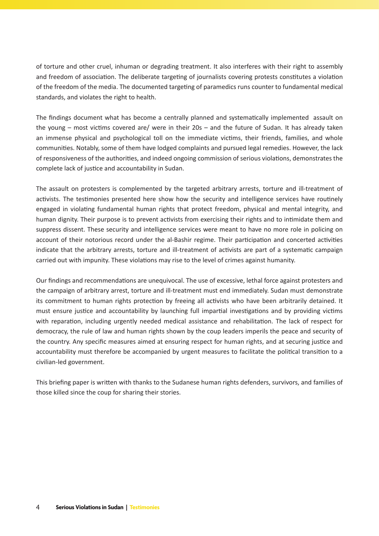of torture and other cruel, inhuman or degrading treatment. It also interferes with their right to assembly and freedom of association. The deliberate targeting of journalists covering protests constitutes a violation of the freedom of the media. The documented targeting of paramedics runs counter to fundamental medical standards, and violates the right to health.

The findings document what has become a centrally planned and systematically implemented assault on the young – most victims covered are/ were in their 20s – and the future of Sudan. It has already taken an immense physical and psychological toll on the immediate victims, their friends, families, and whole communities. Notably, some of them have lodged complaints and pursued legal remedies. However, the lack of responsiveness of the authorities, and indeed ongoing commission of serious violations, demonstrates the complete lack of justice and accountability in Sudan.

The assault on protesters is complemented by the targeted arbitrary arrests, torture and ill-treatment of activists. The testimonies presented here show how the security and intelligence services have routinely engaged in violating fundamental human rights that protect freedom, physical and mental integrity, and human dignity. Their purpose is to prevent activists from exercising their rights and to intimidate them and suppress dissent. These security and intelligence services were meant to have no more role in policing on account of their notorious record under the al-Bashir regime. Their participation and concerted activities indicate that the arbitrary arrests, torture and ill-treatment of activists are part of a systematic campaign carried out with impunity. These violations may rise to the level of crimes against humanity.

Our findings and recommendations are unequivocal. The use of excessive, lethal force against protesters and the campaign of arbitrary arrest, torture and ill-treatment must end immediately. Sudan must demonstrate its commitment to human rights protection by freeing all activists who have been arbitrarily detained. It must ensure justice and accountability by launching full impartial investigations and by providing victims with reparation, including urgently needed medical assistance and rehabilitation. The lack of respect for democracy, the rule of law and human rights shown by the coup leaders imperils the peace and security of the country. Any specific measures aimed at ensuring respect for human rights, and at securing justice and accountability must therefore be accompanied by urgent measures to facilitate the political transition to a civilian-led government.

This briefing paper is written with thanks to the Sudanese human rights defenders, survivors, and families of those killed since the coup for sharing their stories.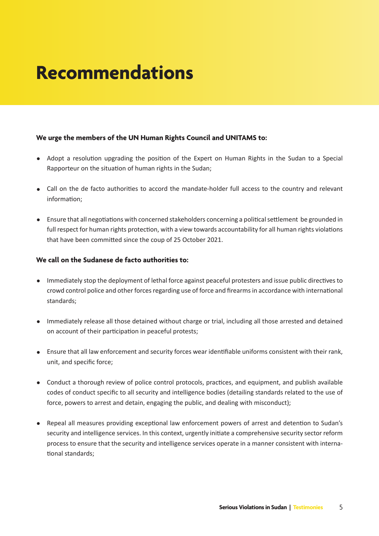## **Recommendations**

#### **We urge the members of the UN Human Rights Council and UNITAMS to:**

- Adopt a resolution upgrading the position of the Expert on Human Rights in the Sudan to a Special Rapporteur on the situation of human rights in the Sudan;
- Call on the de facto authorities to accord the mandate-holder full access to the country and relevant information;
- Ensure that all negotiations with concerned stakeholders concerning a political settlement be grounded in full respect for human rights protection, with a view towards accountability for all human rights violations that have been committed since the coup of 25 October 2021.

#### **We call on the Sudanese de facto authorities to:**

- Immediately stop the deployment of lethal force against peaceful protesters and issue public directives to crowd control police and other forces regarding use of force and firearms in accordance with international standards;
- Immediately release all those detained without charge or trial, including all those arrested and detained on account of their participation in peaceful protests;
- Ensure that all law enforcement and security forces wear identifiable uniforms consistent with their rank, unit, and specific force;
- Conduct a thorough review of police control protocols, practices, and equipment, and publish available codes of conduct specific to all security and intelligence bodies (detailing standards related to the use of force, powers to arrest and detain, engaging the public, and dealing with misconduct);
- Repeal all measures providing exceptional law enforcement powers of arrest and detention to Sudan's security and intelligence services. In this context, urgently initiate a comprehensive security sector reform process to ensure that the security and intelligence services operate in a manner consistent with international standards;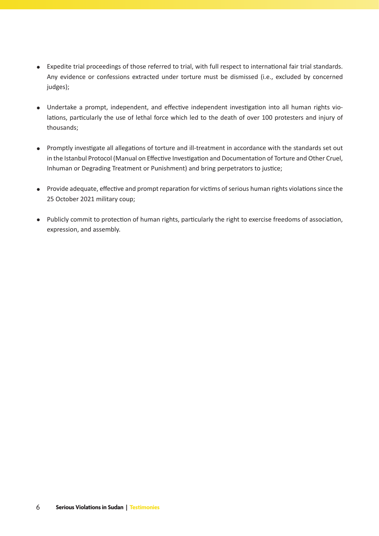- Expedite trial proceedings of those referred to trial, with full respect to international fair trial standards. Any evidence or confessions extracted under torture must be dismissed (i.e., excluded by concerned judges);
- Undertake a prompt, independent, and effective independent investigation into all human rights violations, particularly the use of lethal force which led to the death of over 100 protesters and injury of thousands;
- Promptly investigate all allegations of torture and ill-treatment in accordance with the standards set out in the Istanbul Protocol (Manual on Effective Investigation and Documentation of Torture and Other Cruel, Inhuman or Degrading Treatment or Punishment) and bring perpetrators to justice;
- Provide adequate, effective and prompt reparation for victims of serious human rights violations since the 25 October 2021 military coup;
- Publicly commit to protection of human rights, particularly the right to exercise freedoms of association, expression, and assembly.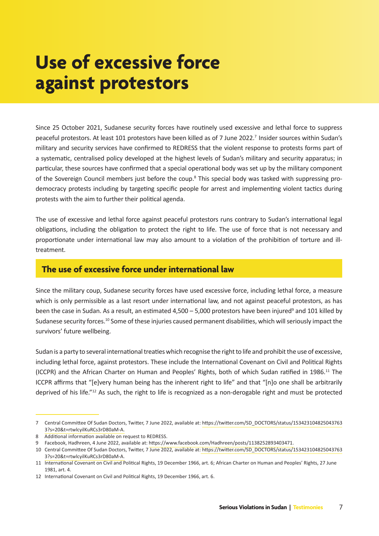## **Use of excessive force against protestors**

Since 25 October 2021, Sudanese security forces have routinely used excessive and lethal force to suppress peaceful protestors. At least 101 protestors have been killed as of 7 June 2022.7 Insider sources within Sudan's military and security services have confirmed to REDRESS that the violent response to protests forms part of a systematic, centralised policy developed at the highest levels of Sudan's military and security apparatus; in particular, these sources have confirmed that a special operational body was set up by the military component of the Sovereign Council members just before the coup.<sup>8</sup> This special body was tasked with suppressing prodemocracy protests including by targeting specific people for arrest and implementing violent tactics during protests with the aim to further their political agenda.

The use of excessive and lethal force against peaceful protestors runs contrary to Sudan's international legal obligations, including the obligation to protect the right to life. The use of force that is not necessary and proportionate under international law may also amount to a violation of the prohibition of torture and illtreatment.

### **The use of excessive force under international law**

Since the military coup, Sudanese security forces have used excessive force, including lethal force, a measure which is only permissible as a last resort under international law, and not against peaceful protestors, as has been the case in Sudan. As a result, an estimated 4,500 – 5,000 protestors have been injured<sup>9</sup> and 101 killed by Sudanese security forces.10 Some of these injuries caused permanent disabilities, which will seriously impact the survivors' future wellbeing.

Sudan is a party to several international treaties which recognise the right to life and prohibit the use of excessive, including lethal force, against protestors. These include the International Covenant on Civil and Political Rights (ICCPR) and the African Charter on Human and Peoples' Rights, both of which Sudan ratified in 1986.<sup>11</sup> The ICCPR affirms that "[e]very human being has the inherent right to life" and that "[n]o one shall be arbitrarily deprived of his life."12 As such, the right to life is recognized as a non-derogable right and must be protected

<sup>7</sup> Central Committee Of Sudan Doctors, Twitter, 7 June 2022, available at: [https://twitter.com/SD\\_DOCTORS/status/153423104825043763](https://twitter.com/SD_DOCTORS/status/1534231048250437633?s=20&t=rtwlcyilKuRCs3rD80aM-A) [3?s=20&t=rtwlcyilKuRCs3rD80aM-A](https://twitter.com/SD_DOCTORS/status/1534231048250437633?s=20&t=rtwlcyilKuRCs3rD80aM-A)[.](https://twitter.com/SD_DOCTORS/status/1533897108322918404?s=20&t=EdfysG_A_XKoHw3i6hyM0Q.)

<sup>8</sup> Additional information available on request to REDRESS.

<sup>9</sup> Facebook, Hadhreen, 4 June 2022, available at: [https://www.facebook.com/Hadhreen/posts/1138252893403471.](https://www.facebook.com/Hadhreen/posts/1138252893403471)

<sup>10</sup> Central Committee Of Sudan Doctors, Twitter, 7 June 2022, available at: [https://twitter.com/SD\\_DOCTORS/status/153423104825043763](https://twitter.com/SD_DOCTORS/status/1534231048250437633?s=20&t=rtwlcyilKuRCs3rD80aM-A) [3?s=20&t=rtwlcyilKuRCs3rD80aM-A.](https://twitter.com/SD_DOCTORS/status/1534231048250437633?s=20&t=rtwlcyilKuRCs3rD80aM-A)

<sup>11</sup> International Covenant on Civil and Political Rights, 19 December 1966, art. 6; African Charter on Human and Peoples' Rights, 27 June 1981, art. 4.

<sup>12</sup> International Covenant on Civil and Political Rights, 19 December 1966, art. 6.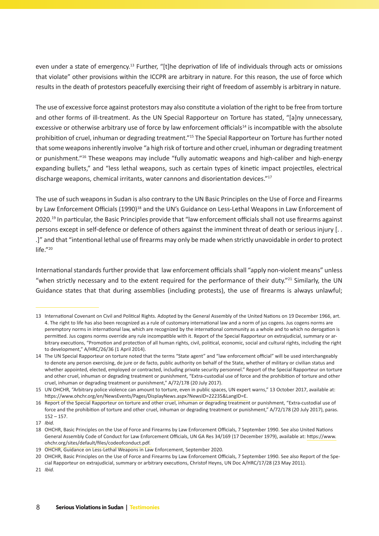even under a state of emergency.<sup>13</sup> Further, "[t]he deprivation of life of individuals through acts or omissions that violate" other provisions within the ICCPR are arbitrary in nature. For this reason, the use of force which results in the death of protestors peacefully exercising their right of freedom of assembly is arbitrary in nature.

The use of excessive force against protestors may also constitute a violation of the right to be free from torture and other forms of ill-treatment. As the UN Special Rapporteur on Torture has stated, "[a]ny unnecessary, excessive or otherwise arbitrary use of force by law enforcement officials<sup>14</sup> is incompatible with the absolute prohibition of cruel, inhuman or degrading treatment."15 The Special Rapporteur on Torture has further noted that some weapons inherently involve "a high risk of torture and other cruel, inhuman or degrading treatment or punishment."16 These weapons may include "fully automatic weapons and high-caliber and high-energy expanding bullets," and "less lethal weapons, such as certain types of kinetic impact projectiles, electrical discharge weapons, chemical irritants, water cannons and disorientation devices."17

The use of such weapons in Sudan is also contrary to the UN Basic Principles on the Use of Force and Firearms by Law Enforcement Officials (1990)<sup>18</sup> and the UN's Guidance on Less-Lethal Weapons in Law Enforcement of 2020.<sup>19</sup> In particular, the Basic Principles provide that "law enforcement officials shall not use firearms against persons except in self-defence or defence of others against the imminent threat of death or serious injury [. . .]" and that "intentional lethal use of firearms may only be made when strictly unavoidable in order to protect life."20

International standards further provide that law enforcement officials shall "apply non-violent means" unless "when strictly necessary and to the extent required for the performance of their duty."<sup>21</sup> Similarly, the UN Guidance states that that during assemblies (including protests), the use of firearms is always unlawful;

<sup>13</sup> International Covenant on Civil and Political Rights. Adopted by the General Assembly of the United Nations on 19 December 1966, art. 4. The right to life has also been recognized as a rule of customary international law and a norm of jus cogens. Jus cogens norms are peremptory norms in international law, which are recognized by the international community as a whole and to which no derogation is permitted. Jus cogens norms override any rule incompatible with it. Report of the Special Rapporteur on extrajudicial, summary or arbitrary executions, "Promotion and protection of all human rights, civil, political, economic, social and cultural rights, including the right to development," A/HRC/26/36 (1 April 2014).

<sup>14</sup> The UN Special Rapporteur on torture noted that the terms "State agent" and "law enforcement official" will be used interchangeably to denote any person exercising, de jure or de facto, public authority on behalf of the State, whether of military or civilian status and whether appointed, elected, employed or contracted, including private security personnel." Report of the Special Rapporteur on torture and other cruel, inhuman or degrading treatment or punishment, "Extra-custodial use of force and the prohibition of torture and other cruel, inhuman or degrading treatment or punishment," A/72/178 (20 July 2017).

<sup>15</sup> UN OHCHR, "Arbitrary police violence can amount to torture, even in public spaces, UN expert warns," 13 October 2017, available at: <https://www.ohchr.org/en/NewsEvents/Pages/DisplayNews.aspx?NewsID=22235&LangID=E.>

<sup>16</sup> Report of the Special Rapporteur on torture and other cruel, inhuman or degrading treatment or punishment, "Extra-custodial use of force and the prohibition of torture and other cruel, inhuman or degrading treatment or punishment," A/72/178 (20 July 2017), paras. 152 – 157.

<sup>17</sup> *Ibid.*

<sup>18</sup> OHCHR, Basic Principles on the Use of Force and Firearms by Law Enforcement Officials, 7 September 1990. See also United Nations General Assembly Code of Conduct for Law Enforcement Officials, UN GA Res 34/169 (17 December 1979), available at: [https://www.](https://www.ohchr.org/sites/default/files/codeofconduct.pdf) [ohchr.org/sites/default/files/codeofconduct.pdf.](https://www.ohchr.org/sites/default/files/codeofconduct.pdf) 

<sup>19</sup> OHCHR, Guidance on Less-Lethal Weapons in Law Enforcement, September 2020.

<sup>20</sup> OHCHR, Basic Principles on the Use of Force and Firearms by Law Enforcement Officials, 7 September 1990. See also Report of the Special Rapporteur on extrajudicial, summary or arbitrary executions, Christof Heyns, UN Doc A/HRC/17/28 (23 May 2011).

<sup>21</sup> *Ibid.*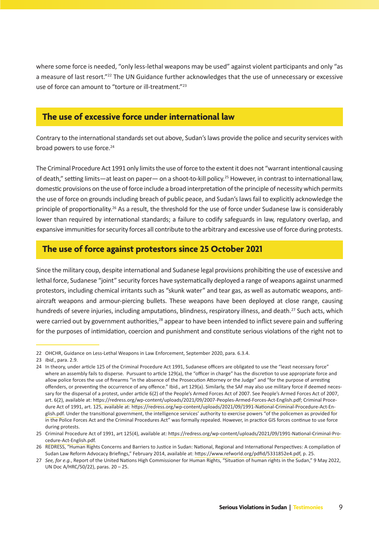where some force is needed, "only less-lethal weapons may be used" against violent participants and only "as a measure of last resort."<sup>22</sup> The UN Guidance further acknowledges that the use of unnecessary or excessive use of force can amount to "torture or ill-treatment."23

### **The use of excessive force under international law**

Contrary to the international standards set out above, Sudan's laws provide the police and security services with broad powers to use force.<sup>24</sup>

The Criminal Procedure Act 1991 only limits the use of force to the extent it does not "warrant intentional causing of death," setting limits—at least on paper— on a shoot-to-kill policy.25 However, in contrast to international law, domestic provisions on the use of force include a broad interpretation of the principle of necessity which permits the use of force on grounds including breach of public peace, and Sudan's laws fail to explicitly acknowledge the principle of proportionality.26 As a result, the threshold for the use of force under Sudanese law is considerably lower than required by international standards; a failure to codify safeguards in law, regulatory overlap, and expansive immunities for security forces all contribute to the arbitrary and excessive use of force during protests.

### **The use of force against protestors since 25 October 2021**

Since the military coup, despite international and Sudanese legal provisions prohibiting the use of excessive and lethal force, Sudanese "joint" security forces have systematically deployed a range of weapons against unarmed protestors, including chemical irritants such as "skunk water" and tear gas, as well as automatic weapons, antiaircraft weapons and armour-piercing bullets. These weapons have been deployed at close range, causing hundreds of severe injuries, including amputations, blindness, respiratory illness, and death.<sup>27</sup> Such acts, which were carried out by government authorities,<sup>28</sup> appear to have been intended to inflict severe pain and suffering for the purposes of intimidation, coercion and punishment and constitute serious violations of the right not to

<sup>22</sup> OHCHR, Guidance on Less-Lethal Weapons in Law Enforcement, September 2020, para. 6.3.4.

<sup>23</sup> *Ibid.*, para. 2.9.

<sup>24</sup> In theory, under article 125 of the Criminal Procedure Act 1991, Sudanese officers are obligated to use the "least necessary force" where an assembly fails to disperse. Pursuant to article 129(a), the "officer in charge" has the discretion to use appropriate force and allow police forces the use of firearms "in the absence of the Prosecution Attorney or the Judge" and "for the purpose of arresting offenders, or preventing the occurrence of any offence." Ibid., art 129(a). Similarly, the SAF may also use military force if deemed necessary for the dispersal of a protest, under article 6(2) of the People's Armed Forces Act of 2007. See People's Armed Forces Act of 2007, art. 6(2), available at: [https://redress.org/wp-content/uploads/2021/09/2007-Peoples-Armed-Forces-Act-English.pdf;](https://redress.org/wp-content/uploads/2021/09/2007-Peoples-Armed-Forces-Act-English.pdf) Criminal Procedure Act of 1991, art. 125, available at: [https://redress.org/wp-content/uploads/2021/09/1991-National-Criminal-Procedure-Act-En](https://redress.org/wp-content/uploads/2021/09/1991-National-Criminal-Procedure-Act-English.pdf)[glish.pdf.](https://redress.org/wp-content/uploads/2021/09/1991-National-Criminal-Procedure-Act-English.pdf) Under the transitional government, the intelligence services' authority to exercise powers "of the policemen as provided for in the Police Forces Act and the Criminal Procedures Act" was formally repealed. However, in practice GIS forces continue to use force during protests.

<sup>25</sup> Criminal Procedure Act of 1991, art 125(4), available at: [https://redress.org/wp-content/uploads/2021/09/1991-National-Criminal-Pro](https://redress.org/wp-content/uploads/2021/09/1991-National-Criminal-Procedure-Act-English.pdf)[cedure-Act-English.pdf.](https://redress.org/wp-content/uploads/2021/09/1991-National-Criminal-Procedure-Act-English.pdf)

<sup>26</sup> REDRESS, "Human Rights Concerns and Barriers to Justice in Sudan: National, Regional and International Perspectives: A compilation of Sudan Law Reform Advocacy Briefings," February 2014, available at: [https://www.refworld.org/pdfid/5331852e4.pdf,](https://www.refworld.org/pdfid/5331852e4.pdf) p. 25.

<sup>27</sup> *See, for e.g.*, Report of the United Nations High Commissioner for Human Rights, "Situation of human rights in the Sudan," 9 May 2022, UN Doc A/HRC/50/22), paras. 20 – 25.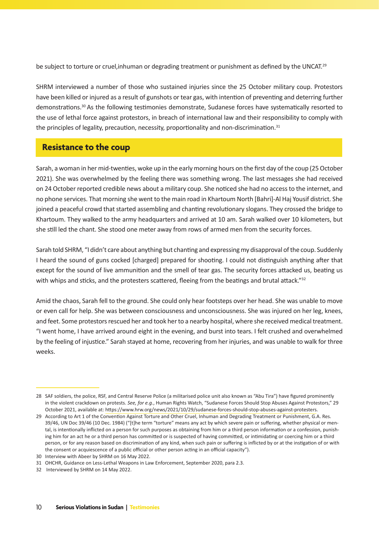be subject to torture or cruel, inhuman or degrading treatment or punishment as defined by the UNCAT.<sup>29</sup>

SHRM interviewed a number of those who sustained injuries since the 25 October military coup. Protestors have been killed or injured as a result of gunshots or tear gas, with intention of preventing and deterring further demonstrations.30 As the following testimonies demonstrate, Sudanese forces have systematically resorted to the use of lethal force against protestors, in breach of international law and their responsibility to comply with the principles of legality, precaution, necessity, proportionality and non-discrimination.<sup>31</sup>

### **Resistance to the coup**

Sarah, a woman in her mid-twenties, woke up in the early morning hours on the first day of the coup (25 October 2021). She was overwhelmed by the feeling there was something wrong. The last messages she had received on 24 October reported credible news about a military coup. She noticed she had no access to the internet, and no phone services. That morning she went to the main road in Khartoum North [Bahri]-Al Haj Yousif district. She joined a peaceful crowd that started assembling and chanting revolutionary slogans. They crossed the bridge to Khartoum. They walked to the army headquarters and arrived at 10 am. Sarah walked over 10 kilometers, but she still led the chant. She stood one meter away from rows of armed men from the security forces.

Sarah told SHRM, "I didn't care about anything but chanting and expressing my disapproval of the coup. Suddenly I heard the sound of guns cocked [charged] prepared for shooting. I could not distinguish anything after that except for the sound of live ammunition and the smell of tear gas. The security forces attacked us, beating us with whips and sticks, and the protesters scattered, fleeing from the beatings and brutal attack."<sup>32</sup>

Amid the chaos, Sarah fell to the ground. She could only hear footsteps over her head. She was unable to move or even call for help. She was between consciousness and unconsciousness. She was injured on her leg, knees, and feet. Some protestors rescued her and took her to a nearby hospital, where she received medical treatment. "I went home, I have arrived around eight in the evening, and burst into tears. I felt crushed and overwhelmed by the feeling of injustice." Sarah stayed at home, recovering from her injuries, and was unable to walk for three weeks.

<sup>28</sup> SAF soldiers, the police, RSF, and Central Reserve Police (a militarised police unit also known as "Abu Tira") have figured prominently in the violent crackdown on protests. *See, for e.g.*, Human Rights Watch, "Sudanese Forces Should Stop Abuses Against Protestors," 29 October 2021, available at: [https://www.hrw.org/news/2021/10/29/sudanese-forces-should-stop-abuses-against-protesters.](https://www.hrw.org/news/2021/10/29/sudanese-forces-should-stop-abuses-against-protesters)

<sup>29</sup> According to Art 1 of the Convention Against Torture and Other Cruel, Inhuman and Degrading Treatment or Punishment, G.A. Res. 39/46, UN Doc 39/46 (10 Dec. 1984) ("[t]he term "torture" means any act by which severe pain or suffering, whether physical or mental, is intentionally inflicted on a person for such purposes as obtaining from him or a third person information or a confession, punishing him for an act he or a third person has committed or is suspected of having committed, or intimidating or coercing him or a third person, or for any reason based on discrimination of any kind, when such pain or suffering is inflicted by or at the instigation of or with the consent or acquiescence of a public official or other person acting in an official capacity").

<sup>30</sup> Interview with Abeer by SHRM on 16 May 2022.

<sup>31</sup> OHCHR, Guidance on Less-Lethal Weapons in Law Enforcement, September 2020, para 2.3.

<sup>32</sup> Interviewed by SHRM on 14 May 2022.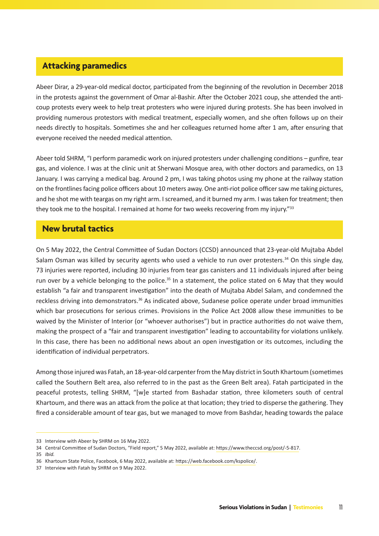### **Attacking paramedics**

Abeer Dirar, a 29-year-old medical doctor, participated from the beginning of the revolution in December 2018 in the protests against the government of Omar al-Bashir. After the October 2021 coup, she attended the anticoup protests every week to help treat protesters who were injured during protests. She has been involved in providing numerous protestors with medical treatment, especially women, and she often follows up on their needs directly to hospitals. Sometimes she and her colleagues returned home after 1 am, after ensuring that everyone received the needed medical attention.

Abeer told SHRM, "I perform paramedic work on injured protesters under challenging conditions – gunfire, tear gas, and violence. I was at the clinic unit at Sherwani Mosque area, with other doctors and paramedics, on 13 January. I was carrying a medical bag. Around 2 pm, I was taking photos using my phone at the railway station on the frontlines facing police officers about 10 meters away. One anti-riot police officer saw me taking pictures, and he shot me with teargas on my right arm. I screamed, and it burned my arm. I was taken for treatment; then they took me to the hospital. I remained at home for two weeks recovering from my injury."<sup>33</sup>

#### **New brutal tactics**

On 5 May 2022, the Central Committee of Sudan Doctors (CCSD) announced that 23-year-old Mujtaba Abdel Salam Osman was killed by security agents who used a vehicle to run over protesters.<sup>34</sup> On this single day, 73 injuries were reported, including 30 injuries from tear gas canisters and 11 individuals injured after being run over by a vehicle belonging to the police.<sup>35</sup> In a statement, the police stated on 6 May that they would establish "a fair and transparent investigation" into the death of Mujtaba Abdel Salam, and condemned the reckless driving into demonstrators.36 As indicated above, Sudanese police operate under broad immunities which bar prosecutions for serious crimes. Provisions in the Police Act 2008 allow these immunities to be waived by the Minister of Interior (or "whoever authorises") but in practice authorities do not waive them, making the prospect of a "fair and transparent investigation" leading to accountability for violations unlikely. In this case, there has been no additional news about an open investigation or its outcomes, including the identification of individual perpetrators.

Among those injured was Fatah, an 18-year-old carpenter from the May district in South Khartoum (sometimes called the Southern Belt area, also referred to in the past as the Green Belt area). Fatah participated in the peaceful protests, telling SHRM, "[w]e started from Bashadar station, three kilometers south of central Khartoum, and there was an attack from the police at that location; they tried to disperse the gathering. They fired a considerable amount of tear gas, but we managed to move from Bashdar, heading towards the palace

<sup>33</sup> Interview with Abeer by SHRM on 16 May 2022.

<sup>34</sup> Central Committee of Sudan Doctors, "Field report," 5 May 2022, available at: [https://www.theccsd.org/post/-5-817.](https://www.theccsd.org/post/-5-817)

<sup>35</sup> *Ibid.*

<sup>36</sup> Khartoum State Police, Facebook, 6 May 2022, available at: [https://web.facebook.com/kspolice/.](https://web.facebook.com/kspolice/)

<sup>37</sup> Interview with Fatah by SHRM on 9 May 2022.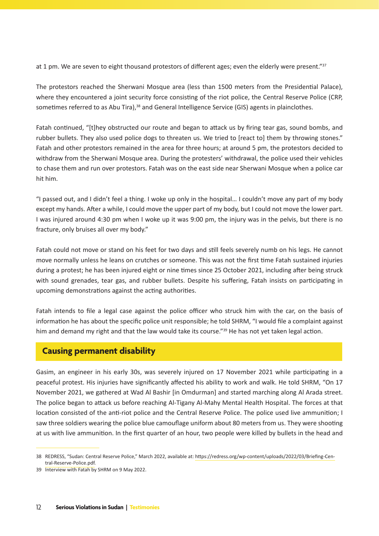at 1 pm. We are seven to eight thousand protestors of different ages; even the elderly were present."<sup>37</sup>

The protestors reached the Sherwani Mosque area (less than 1500 meters from the Presidential Palace), where they encountered a joint security force consisting of the riot police, the Central Reserve Police (CRP, sometimes referred to as Abu Tira),<sup>38</sup> and General Intelligence Service (GIS) agents in plainclothes.

Fatah continued, "[t]hey obstructed our route and began to attack us by firing tear gas, sound bombs, and rubber bullets. They also used police dogs to threaten us. We tried to [react to] them by throwing stones." Fatah and other protestors remained in the area for three hours; at around 5 pm, the protestors decided to withdraw from the Sherwani Mosque area. During the protesters' withdrawal, the police used their vehicles to chase them and run over protestors. Fatah was on the east side near Sherwani Mosque when a police car hit him.

"I passed out, and I didn't feel a thing. I woke up only in the hospital… I couldn't move any part of my body except my hands. After a while, I could move the upper part of my body, but I could not move the lower part. I was injured around 4:30 pm when I woke up it was 9:00 pm, the injury was in the pelvis, but there is no fracture, only bruises all over my body."

Fatah could not move or stand on his feet for two days and still feels severely numb on his legs. He cannot move normally unless he leans on crutches or someone. This was not the first time Fatah sustained injuries during a protest; he has been injured eight or nine times since 25 October 2021, including after being struck with sound grenades, tear gas, and rubber bullets. Despite his suffering, Fatah insists on participating in upcoming demonstrations against the acting authorities.

Fatah intends to file a legal case against the police officer who struck him with the car, on the basis of information he has about the specific police unit responsible; he told SHRM, "I would file a complaint against him and demand my right and that the law would take its course."<sup>39</sup> He has not yet taken legal action.

### **Causing permanent disability**

Gasim, an engineer in his early 30s, was severely injured on 17 November 2021 while participating in a peaceful protest. His injuries have significantly affected his ability to work and walk. He told SHRM, "On 17 November 2021, we gathered at Wad Al Bashir [in Omdurman] and started marching along Al Arada street. The police began to attack us before reaching Al-Tigany Al-Mahy Mental Health Hospital. The forces at that location consisted of the anti-riot police and the Central Reserve Police. The police used live ammunition; I saw three soldiers wearing the police blue camouflage uniform about 80 meters from us. They were shooting at us with live ammunition. In the first quarter of an hour, two people were killed by bullets in the head and

<sup>38</sup> REDRESS, "Sudan: Central Reserve Police," March 2022, available at: [https://redress.org/wp-content/uploads/2022/03/Briefing-Cen](https://redress.org/wp-content/uploads/2022/03/Briefing-Central-Reserve-Police.pdf)[tral-Reserve-Police.pdf.](https://redress.org/wp-content/uploads/2022/03/Briefing-Central-Reserve-Police.pdf)

<sup>39</sup> Interview with Fatah by SHRM on 9 May 2022.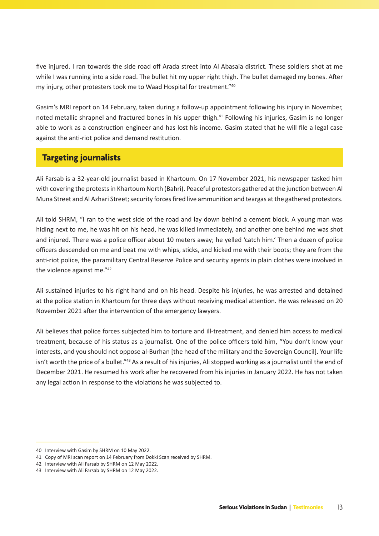five injured. I ran towards the side road off Arada street into Al Abasaia district. These soldiers shot at me while I was running into a side road. The bullet hit my upper right thigh. The bullet damaged my bones. After my injury, other protesters took me to Waad Hospital for treatment."40

Gasim's MRI report on 14 February, taken during a follow-up appointment following his injury in November, noted metallic shrapnel and fractured bones in his upper thigh.<sup>41</sup> Following his injuries, Gasim is no longer able to work as a construction engineer and has lost his income. Gasim stated that he will file a legal case against the anti-riot police and demand restitution.

### **Targeting journalists**

Ali Farsab is a 32-year-old journalist based in Khartoum. On 17 November 2021, his newspaper tasked him with covering the protests in Khartoum North (Bahri). Peaceful protestors gathered at the junction between Al Muna Street and Al Azhari Street; security forces fired live ammunition and teargas at the gathered protestors.

Ali told SHRM, "I ran to the west side of the road and lay down behind a cement block. A young man was hiding next to me, he was hit on his head, he was killed immediately, and another one behind me was shot and injured. There was a police officer about 10 meters away; he yelled 'catch him.' Then a dozen of police officers descended on me and beat me with whips, sticks, and kicked me with their boots; they are from the anti-riot police, the paramilitary Central Reserve Police and security agents in plain clothes were involved in the violence against me."42

Ali sustained injuries to his right hand and on his head. Despite his injuries, he was arrested and detained at the police station in Khartoum for three days without receiving medical attention. He was released on 20 November 2021 after the intervention of the emergency lawyers.

Ali believes that police forces subjected him to torture and ill-treatment, and denied him access to medical treatment, because of his status as a journalist. One of the police officers told him, "You don't know your interests, and you should not oppose al-Burhan [the head of the military and the Sovereign Council]. Your life isn't worth the price of a bullet."<sup>43</sup> As a result of his injuries, Ali stopped working as a journalist until the end of December 2021. He resumed his work after he recovered from his injuries in January 2022. He has not taken any legal action in response to the violations he was subjected to.

<sup>40</sup> Interview with Gasim by SHRM on 10 May 2022.

<sup>41</sup> Copy of MRI scan report on 14 February from Dokki Scan received by SHRM.

<sup>42</sup> Interview with Ali Farsab by SHRM on 12 May 2022.

<sup>43</sup> Interview with Ali Farsab by SHRM on 12 May 2022.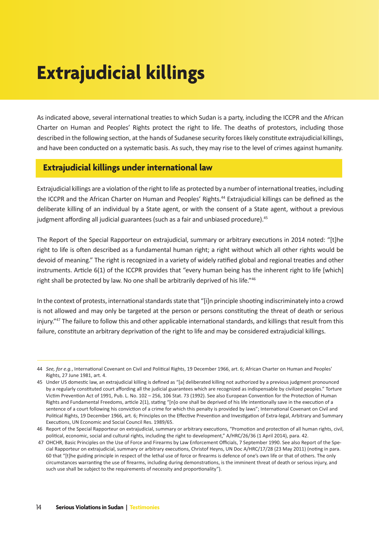# **Extrajudicial killings**

As indicated above, several international treaties to which Sudan is a party, including the ICCPR and the African Charter on Human and Peoples' Rights protect the right to life. The deaths of protestors, including those described in the following section, at the hands of Sudanese security forces likely constitute extrajudicial killings, and have been conducted on a systematic basis. As such, they may rise to the level of crimes against humanity.

### **Extrajudicial killings under international law**

Extrajudicial killings are a violation of the right to life as protected by a number of international treaties, including the ICCPR and the African Charter on Human and Peoples' Rights.<sup>44</sup> Extrajudicial killings can be defined as the deliberate killing of an individual by a State agent, or with the consent of a State agent, without a previous judgment affording all judicial guarantees (such as a fair and unbiased procedure).<sup>45</sup>

The Report of the Special Rapporteur on extrajudicial, summary or arbitrary executions in 2014 noted: "[t]he right to life is often described as a fundamental human right; a right without which all other rights would be devoid of meaning." The right is recognized in a variety of widely ratified global and regional treaties and other instruments. Article 6(1) of the ICCPR provides that "every human being has the inherent right to life [which] right shall be protected by law. No one shall be arbitrarily deprived of his life."46

In the context of protests, international standards state that "[i]n principle shooting indiscriminately into a crowd is not allowed and may only be targeted at the person or persons constituting the threat of death or serious injury."47 The failure to follow this and other applicable international standards, and killings that result from this failure, constitute an arbitrary deprivation of the right to life and may be considered extrajudicial killings.1

<sup>44</sup> *See, for e.g.*, International Covenant on Civil and Political Rights, 19 December 1966, art. 6; African Charter on Human and Peoples' Rights, 27 June 1981, art. 4.

<sup>45</sup> Under US domestic law, an extrajudicial killing is defined as "[a] deliberated killing not authorized by a previous judgment pronounced by a regularly constituted court affording all the judicial guarantees which are recognized as indispensable by civilized peoples." Torture Victim Prevention Act of 1991, Pub. L. No. 102 – 256, 106 Stat. 73 (1992). See also European Convention for the Protection of Human Rights and Fundamental Freedoms, article 2(1), stating "[n]o one shall be deprived of his life intentionally save in the execution of a sentence of a court following his conviction of a crime for which this penalty is provided by laws"; International Covenant on Civil and Political Rights, 19 December 1966, art. 6; Principles on the Effective Prevention and Investigation of Extra-legal, Arbitrary and Summary Executions, UN Economic and Social Council Res. 1989/65.

<sup>46</sup> Report of the Special Rapporteur on extrajudicial, summary or arbitrary executions, "Promotion and protection of all human rights, civil, political, economic, social and cultural rights, including the right to development," A/HRC/26/36 (1 April 2014), para. 42.

 <sup>47</sup> OHCHR, Basic Principles on the Use of Force and Firearms by Law Enforcement Officials, 7 September 1990. See also Report of the Special Rapporteur on extrajudicial, summary or arbitrary executions, Christof Heyns, UN Doc A/HRC/17/28 (23 May 2011) (noting in para. 60 that "[t]he guiding principle in respect of the lethal use of force or firearms is defence of one's own life or that of others. The only circumstances warranting the use of firearms, including during demonstrations, is the imminent threat of death or serious injury, and such use shall be subject to the requirements of necessity and proportionality").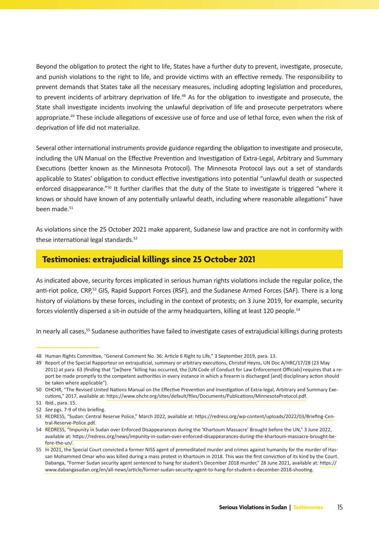Beyond the obligation to protect the right to life, States have a further duty to prevent, investigate, prosecute, and punish violations to the right to life, and provide victims with an effective remedy. The responsibility to prevent demands that States take all the necessary measures, including adopting legislation and procedures, to prevent incidents of arbitrary deprivation of life.<sup>48</sup> As for the obligation to investigate and prosecute, the State shall investigate incidents involving the unlawful deprivation of life and prosecute perpetrators where appropriate.<sup>49</sup> These include allegations of excessive use of force and use of lethal force, even when the risk of deprivation of life did not materialize.

Several other international instruments provide guidance regarding the obligation to investigate and prosecute, including the UN Manual on the Effective Prevention and Investigation of Extra-Legal, Arbitrary and Summary Executions (better known as the Minnesota Protocol). The Minnesota Protocol lays out a set of standards applicable to States' obligation to conduct effective investigations into potential "unlawful death or suspected enforced disappearance."50 It further clarifies that the duty of the State to investigate is triggered "where it knows or should have known of any potentially unlawful death, including where reasonable allegations" have been made.<sup>51</sup>

As violations since the 25 October 2021 make apparent, Sudanese law and practice are not in conformity with these international legal standards.<sup>52</sup>

### **Testimonies: extrajudicial killings since 25 October 2021**

As indicated above, security forces implicated in serious human rights violations include the regular police, the anti-riot police, CRP,<sup>53</sup> GIS, Rapid Support Forces (RSF), and the Sudanese Armed Forces (SAF). There is a long history of violations by these forces, including in the context of protests; on 3 June 2019, for example, security forces violently dispersed a sit-in outside of the army headquarters, killing at least 120 people.<sup>54</sup>

In nearly all cases,55 Sudanese authorities have failed to investigate cases of extrajudicial killings during protests

<sup>48</sup> Human Rights Committee, "General Comment No. 36: Article 6 Right to Life," 3 September 2019, para. 13.

<sup>49</sup> Report of the Special Rapporteur on extrajudicial, summary or arbitrary executions, Christof Heyns, UN Doc A/HRC/17/28 (23 May 2011) at para. 63 (finding that "[w]here "killing has occurred, the [UN Code of Conduct for Law Enforcement Officials] requires that a report be made promptly to the competent authorities in every instance in which a firearm is discharged [and] disciplinary action should be taken where applicable").

<sup>50</sup> OHCHR, "The Revised United Nations Manual on the Effective Prevention and Investigation of Extra-legal, Arbitrary and Summary Executions," 2017, available at: <https://www.ohchr.org/sites/default/files/Documents/Publications/MinnesotaProtocol.pdf>.

<sup>51</sup> Ibid., para. 15.

<sup>52</sup> *See* pgs. 7-9 of this briefing.

<sup>53</sup> REDRESS, "Sudan: Central Reserve Police," March 2022, available at: [https://redress.org/wp-content/uploads/2022/03/Briefing-Cen](https://redress.org/wp-content/uploads/2022/03/Briefing-Central-Reserve-Police.pdf)[tral-Reserve-Police.pdf.](https://redress.org/wp-content/uploads/2022/03/Briefing-Central-Reserve-Police.pdf)

<sup>54</sup> REDRESS, "Impunity in Sudan over Enforced Disappearances during the 'Khartoum Massacre' Brought before the UN," 3 June 2022, available at: [https://redress.org/news/impunity-in-sudan-over-enforced-disappearances-during-the-khartoum-massacre-brought-be](https://redress.org/news/impunity-in-sudan-over-enforced-disappearances-during-the-khartoum-massacre-brought-before-the-un/)[fore-the-un/.](https://redress.org/news/impunity-in-sudan-over-enforced-disappearances-during-the-khartoum-massacre-brought-before-the-un/)

<sup>55</sup> In 2021, the Special Court convicted a former NISS agent of premeditated murder and crimes against humanity for the murder of Hassan Mohammed Omar who was killed during a mass protest in Khartoum in 2018. This was the first conviction of its kind by the Court. Dabanga, "Former Sudan security agent sentenced to hang for student's December 2018 murder," 28 June 2021, available at: [https://](https://www.dabangasudan.org/en/all-news/article/former-sudan-security-agent-to-hang-for-student-s-december-2018-shooting) [www.dabangasudan.org/en/all-news/article/former-sudan-security-agent-to-hang-for-student-s-december-2018-shooting.](https://www.dabangasudan.org/en/all-news/article/former-sudan-security-agent-to-hang-for-student-s-december-2018-shooting)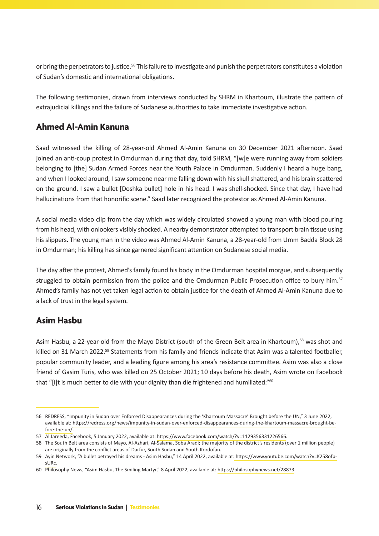or bring the perpetrators to justice.56 This failure to investigate and punish the perpetrators constitutes a violation of Sudan's domestic and international obligations.1

The following testimonies, drawn from interviews conducted by SHRM in Khartoum, illustrate the pattern of extrajudicial killings and the failure of Sudanese authorities to take immediate investigative action.

### **Ahmed Al-Amin Kanuna**

Saad witnessed the killing of 28-year-old Ahmed Al-Amin Kanuna on 30 December 2021 afternoon. Saad joined an anti-coup protest in Omdurman during that day, told SHRM, "[w]e were running away from soldiers belonging to [the] Sudan Armed Forces near the Youth Palace in Omdurman. Suddenly I heard a huge bang, and when I looked around, I saw someone near me falling down with his skull shattered, and his brain scattered on the ground. I saw a bullet [Doshka bullet] hole in his head. I was shell-shocked. Since that day, I have had hallucinations from that honorific scene." Saad later recognized the protestor as Ahmed Al-Amin Kanuna.

A social media video clip from the day which was widely circulated showed a young man with blood pouring from his head, with onlookers visibly shocked. A nearby demonstrator attempted to transport brain tissue using his slippers. The young man in the video was Ahmed Al-Amin Kanuna, a 28-year-old from Umm Badda Block 28 in Omdurman; his killing has since garnered significant attention on Sudanese social media.

The day after the protest, Ahmed's family found his body in the Omdurman hospital morgue, and subsequently struggled to obtain permission from the police and the Omdurman Public Prosecution office to bury him.<sup>57</sup> Ahmed's family has not yet taken legal action to obtain justice for the death of Ahmed Al-Amin Kanuna due to a lack of trust in the legal system.

### **Asim Hasbu**

Asim Hasbu, a 22-year-old from the Mayo District (south of the Green Belt area in Khartoum),<sup>58</sup> was shot and killed on 31 March 2022.<sup>59</sup> Statements from his family and friends indicate that Asim was a talented footballer, popular community leader, and a leading figure among his area's resistance committee. Asim was also a close friend of Gasim Turis, who was killed on 25 October 2021; 10 days before his death, Asim wrote on Facebook that "[i]t is much better to die with your dignity than die frightened and humiliated."<sup>60</sup>

<sup>56</sup> REDRESS, "Impunity in Sudan over Enforced Disappearances during the 'Khartoum Massacre' Brought before the UN," 3 June 2022, available at: [https://redress.org/news/impunity-in-sudan-over-enforced-disappearances-during-the-khartoum-massacre-brought-be](https://redress.org/news/impunity-in-sudan-over-enforced-disappearances-during-the-khartoum-massacre-brought-before-the-un/)[fore-the-un/.](https://redress.org/news/impunity-in-sudan-over-enforced-disappearances-during-the-khartoum-massacre-brought-before-the-un/)

<sup>57</sup> Al Jareeda, Facebook, 5 January 2022, available at: [https://www.facebook.com/watch/?v=1129356331226566.](https://www.facebook.com/watch/?v=1129356331226566)

<sup>58</sup> The South Belt area consists of Mayo, Al-Azhari, Al-Salama, Soba Aradi; the majority of the district's residents (over 1 million people) are originally from the conflict areas of Darfur, South Sudan and South Kordofan.

<sup>59</sup> Ayin Network, "A bullet betrayed his dreams - Asim Hasbu," 14 April 2022, available at[: https://www.youtube.com/watch?v=K258ofp](https://www.youtube.com/watch?v=K258ofpsURc)[sURc](https://www.youtube.com/watch?v=K258ofpsURc).

<sup>60</sup> Philosophy News, "Asim Hasbu, The Smiling Martyr," 8 April 2022, available at: <https://philosophynews.net/28873>.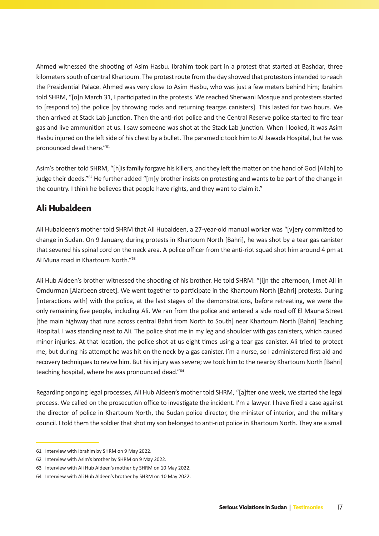Ahmed witnessed the shooting of Asim Hasbu. Ibrahim took part in a protest that started at Bashdar, three kilometers south of central Khartoum. The protest route from the day showed that protestors intended to reach the Presidential Palace. Ahmed was very close to Asim Hasbu, who was just a few meters behind him; Ibrahim told SHRM, "[o]n March 31, I participated in the protests. We reached Sherwani Mosque and protesters started to [respond to] the police [by throwing rocks and returning teargas canisters]. This lasted for two hours. We then arrived at Stack Lab junction. Then the anti-riot police and the Central Reserve police started to fire tear gas and live ammunition at us. I saw someone was shot at the Stack Lab junction. When I looked, it was Asim Hasbu injured on the left side of his chest by a bullet. The paramedic took him to Al Jawada Hospital, but he was pronounced dead there."<sup>6</sup><sup>1</sup>

Asim's brother told SHRM, "[h]is family forgave his killers, and they left the matter on the hand of God [Allah] to judge their deeds."<sup>62</sup> He further added "[m]y brother insists on protesting and wants to be part of the change in the country. I think he believes that people have rights, and they want to claim it."

### **Ali Hubaldeen**

Ali Hubaldeen's mother told SHRM that Ali Hubaldeen, a 27-year-old manual worker was "[v]ery committed to change in Sudan. On 9 January, during protests in Khartoum North [Bahri], he was shot by a tear gas canister that severed his spinal cord on the neck area. A police officer from the anti-riot squad shot him around 4 pm at Al Muna road in Khartoum North."<sup>63</sup>

Ali Hub Aldeen's brother witnessed the shooting of his brother. He told SHRM: "[i]n the afternoon, I met Ali in Omdurman [Alarbeen street]. We went together to participate in the Khartoum North [Bahri] protests. During [interactions with] with the police, at the last stages of the demonstrations, before retreating, we were the only remaining five people, including Ali. We ran from the police and entered a side road off El Mauna Street [the main highway that runs across central Bahri from North to South] near Khartoum North [Bahri] Teaching Hospital. I was standing next to Ali. The police shot me in my leg and shoulder with gas canisters, which caused minor injuries. At that location, the police shot at us eight times using a tear gas canister. Ali tried to protect me, but during his attempt he was hit on the neck by a gas canister. I'm a nurse, so I administered first aid and recovery techniques to revive him. But his injury was severe; we took him to the nearby Khartoum North [Bahri] teaching hospital, where he was pronounced dead."<sup>64</sup>

Regarding ongoing legal processes, Ali Hub Aldeen's mother told SHRM, "[a]fter one week, we started the legal process. We called on the prosecution office to investigate the incident. I'm a lawyer. I have filed a case against the director of police in Khartoum North, the Sudan police director, the minister of interior, and the military council. I told them the soldier that shot my son belonged to anti-riot police in Khartoum North. They are a small

<sup>61</sup> Interview with Ibrahim by SHRM on 9 May 2022.

<sup>62</sup> Interview with Asim's brother by SHRM on 9 May 2022.

<sup>63</sup> Interview with Ali Hub Aldeen's mother by SHRM on 10 May 2022.

<sup>64</sup> Interview with Ali Hub Aldeen's brother by SHRM on 10 May 2022.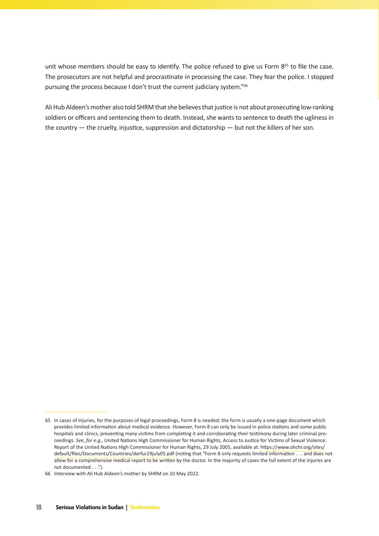unit whose members should be easy to identify. The police refused to give us Form 8<sup>65</sup> to file the case. The prosecutors are not helpful and procrastinate in processing the case. They fear the police. I stopped pursuing the process because I don't trust the current judiciary system."<sup>66</sup>

Ali Hub Aldeen's mother also told SHRM that she believes that justice is not about prosecuting low-ranking soldiers or officers and sentencing them to death. Instead, she wants to sentence to death the ugliness in the country  $-$  the cruelty, injustice, suppression and dictatorship  $-$  but not the killers of her son.

<sup>65</sup> In cases of injuries, for the purposes of legal proceedings, Form 8 is needed; the form is usually a one-page document which provides limited information about medical evidence. However, Form 8 can only be issued in police stations and some public hospitals and clinics, preventing many victims from completing it and corroborating their testimony during later criminal proceedings. *See, for e.g.*, United Nations High Commissioner for Human Rights, Access to Justice for Victims of Sexual Violence: Report of the United Nations High Commissioner for Human Rights, 29 July 2005, available at: [https://www.ohchr.org/sites/](https://www.ohchr.org/sites/default/files/Documents/Countries/darfur29july05.pdf) [default/files/Documents/Countries/darfur29july05.pdf](https://www.ohchr.org/sites/default/files/Documents/Countries/darfur29july05.pdf) (noting that "Form 8 only requests limited information . . . and does not allow for a comprehensive medical report to be written by the doctor. In the majority of cases the full extent of the injuries are not documented . . .").

<sup>66</sup> Interview with Ali Hub Aldeen's mother by SHRM on 10 May 2022.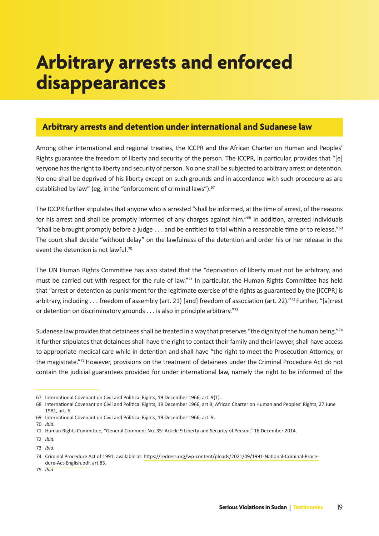## **Arbitrary arrests and enforced disappearances**

### **Arbitrary arrests and detention under international and Sudanese law**

Among other international and regional treaties, the ICCPR and the African Charter on Human and Peoples' Rights guarantee the freedom of liberty and security of the person. The ICCPR, in particular, provides that "[e] veryone has the right to liberty and security of person. No one shall be subjected to arbitrary arrest or detention. No one shall be deprived of his liberty except on such grounds and in accordance with such procedure as are established by law" (eg, in the "enforcement of criminal laws").<sup>67</sup>

The ICCPR further stipulates that anyone who is arrested "shall be informed, at the time of arrest, of the reasons for his arrest and shall be promptly informed of any charges against him."<sup>68</sup> In addition, arrested individuals "shall be brought promptly before a judge . . . and be entitled to trial within a reasonable time or to release."69 The court shall decide "without delay" on the lawfulness of the detention and order his or her release in the event the detention is not lawful.<sup>70</sup>

The UN Human Rights Committee has also stated that the "deprivation of liberty must not be arbitrary, and must be carried out with respect for the rule of law."71 In particular, the Human Rights Committee has held that "arrest or detention as punishment for the legitimate exercise of the rights as guaranteed by the [ICCPR] is arbitrary, including . . . freedom of assembly (art. 21) [and] freedom of association (art. 22)."<sup>72</sup> Further, "[a]rrest or detention on discriminatory grounds . . . is also in principle arbitrary."73

Sudanese law provides that detainees shall be treated in a way that preserves "the dignity of the human being."<sup>74</sup> It further stipulates that detainees shall have the right to contact their family and their lawyer, shall have access to appropriate medical care while in detention and shall have "the right to meet the Prosecution Attorney, or the magistrate."75 However, provisions on the treatment of detainees under the Criminal Procedure Act do not contain the judicial guarantees provided for under international law, namely the right to be informed of the

<sup>67</sup> International Covenant on Civil and Political Rights, 19 December 1966, art. 9(1).

<sup>68</sup> International Covenant on Civil and Political Rights, 19 December 1966, art 9; African Charter on Human and Peoples' Rights, 27 June 1981, art. 6.

<sup>69</sup> International Covenant on Civil and Political Rights, 19 December 1966, art. 9.

<sup>70</sup> *Ibid.* 

<sup>71</sup> Human Rights Committee, "General Comment No. 35: Article 9 Liberty and Security of Person," 16 December 2014.

<sup>72</sup> *Ibid.*

<sup>73</sup> *Ibid.*

<sup>74</sup> Criminal Procedure Act of 1991, available at: [https://redress.org/wp-content/ploads/2021/09/1991-National-Criminal-Proce](https://redress.org/wp-content/uploads/2021/09/1991-National-Criminal-Procedure-Act-English.pdf)[dure-Act-English.pdf,](https://redress.org/wp-content/uploads/2021/09/1991-National-Criminal-Procedure-Act-English.pdf) art 83.

<sup>75</sup> *Ibid.*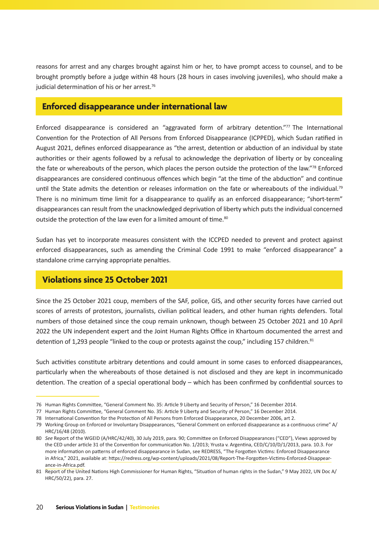reasons for arrest and any charges brought against him or her, to have prompt access to counsel, and to be brought promptly before a judge within 48 hours (28 hours in cases involving juveniles), who should make a judicial determination of his or her arrest.<sup>76</sup>

### **Enforced disappearance under international law**

Enforced disappearance is considered an "aggravated form of arbitrary detention."77 The International Convention for the Protection of All Persons from Enforced Disappearance (ICPPED), which Sudan ratified in August 2021, defines enforced disappearance as "the arrest, detention or abduction of an individual by state authorities or their agents followed by a refusal to acknowledge the deprivation of liberty or by concealing the fate or whereabouts of the person, which places the person outside the protection of the law."78 Enforced disappearances are considered continuous offences which begin "at the time of the abduction" and continue until the State admits the detention or releases information on the fate or whereabouts of the individual.<sup>79</sup> There is no minimum time limit for a disappearance to qualify as an enforced disappearance; "short-term" disappearances can result from the unacknowledged deprivation of liberty which puts the individual concerned outside the protection of the law even for a limited amount of time.<sup>80</sup>

Sudan has yet to incorporate measures consistent with the ICCPED needed to prevent and protect against enforced disappearances, such as amending the Criminal Code 1991 to make "enforced disappearance" a standalone crime carrying appropriate penalties.

### **Violations since 25 October 2021**

Since the 25 October 2021 coup, members of the SAF, police, GIS, and other security forces have carried out scores of arrests of protestors, journalists, civilian political leaders, and other human rights defenders. Total numbers of those detained since the coup remain unknown, though between 25 October 2021 and 10 April 2022 the UN independent expert and the Joint Human Rights Office in Khartoum documented the arrest and detention of 1,293 people "linked to the coup or protests against the coup," including 157 children.<sup>81</sup>

Such activities constitute arbitrary detentions and could amount in some cases to enforced disappearances, particularly when the whereabouts of those detained is not disclosed and they are kept in incommunicado detention. The creation of a special operational body – which has been confirmed by confidential sources to

<sup>76</sup> Human Rights Committee, "General Comment No. 35: Article 9 Liberty and Security of Person," 16 December 2014.

<sup>77</sup> Human Rights Committee, "General Comment No. 35: Article 9 Liberty and Security of Person," 16 December 2014.

<sup>78</sup> International Convention for the Protection of All Persons from Enforced Disappearance, 20 December 2006, art 2.

<sup>79</sup> Working Group on Enforced or Involuntary Disappearances, "General Comment on enforced disappearance as a continuous crime" A/ HRC/16/48 (2010).

<sup>80</sup> *See* Report of the WGEID (A/HRC/42/40), 30 July 2019, para. 90; Committee on Enforced Disappearances ("CED"), Views approved by the CED under article 31 of the Convention for communication No. 1/2013; Yrusta v. Argentina, CED/C/10/D/1/2013, para. 10.3. For more information on patterns of enforced disappearance in Sudan, see REDRESS, "The Forgotten Victims: Enforced Disappearance in Africa," 2021, available at: [https://redress.org/wp-content/uploads/2021/08/Report-The-Forgotten-Victims-Enforced-Disappear](https://redress.org/wp-content/uploads/2021/08/Report-The-Forgotten-Victims-Enforced-Disappearance-in-Africa.pdf)ance-in-Africa.pdf

<sup>81</sup> Report of the United Nations High Commissioner for Human Rights, "Situation of human rights in the Sudan," 9 May 2022, UN Doc A/ HRC/50/22), para. 27.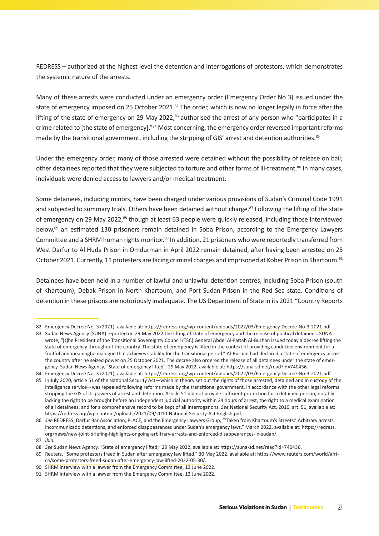REDRESS – authorized at the highest level the detention and interrogations of protestors, which demonstrates the systemic nature of the arrests.

Many of these arrests were conducted under an emergency order (Emergency Order No 3) issued under the state of emergency imposed on 25 October 2021.<sup>82</sup> The order, which is now no longer legally in force after the lifting of the state of emergency on 29 May 2022, $^{83}$  authorised the arrest of any person who "participates in a crime related to [the state of emergency]."<sup>84</sup> Most concerning, the emergency order reversed important reforms made by the transitional government, including the stripping of GIS' arrest and detention authorities.<sup>85</sup>

Under the emergency order, many of those arrested were detained without the possibility of release on bail; other detainees reported that they were subjected to torture and other forms of ill-treatment.<sup>86</sup> In many cases, individuals were denied access to lawyers and/or medical treatment.

Some detainees, including minors, have been charged under various provisions of Sudan's Criminal Code 1991 and subjected to summary trials. Others have been detained without charge.<sup>87</sup> Following the lifting of the state of emergency on 29 May 2022,<sup>88</sup> though at least 63 people were quickly released, including those interviewed below,<sup>89</sup> an estimated 130 prisoners remain detained in Soba Prison, according to the Emergency Lawyers Committee and a SHRM human rights monitor.<sup>90</sup> In addition, 21 prisoners who were reportedly transferred from West Darfur to Al Huda Prison in Omdurman in April 2022 remain detained, after having been arrested on 25 October 2021. Currently, 11 protesters are facing criminal charges and imprisoned at Kober Prison in Khartoum.<sup>91</sup>

Detainees have been held in a number of lawful and unlawful detention centres, including Soba Prison (south of Khartoum), Debak Prison in North Khartoum, and Port Sudan Prison in the Red Sea state. Conditions of detention in these prisons are notoriously inadequate. The US Department of State in its 2021 "Country Reports

<sup>82</sup> Emergency Decree No. 3 (2021), available at:<https://redress.org/wp-content/uploads/2022/03/Emergency-Decree-No-3-2021.pdf>.

<sup>83</sup> Sudan News Agency (SUNA) reported on 29 May 2022 the lifting of state of emergency and the release of political detainees. SUNA wrote, "[t]he President of the Transitional Sovereignty Council (TSC) General Abdel Al-Fattah Al-Burhan issued today a decree lifting the state of emergency throughout the country. The state of emergency is lifted in the context of providing conducive environment for a fruitful and meaningful dialogue that achieves stability for the transitional period." Al-Burhan had declared a state of emergency across the country after he seized power on 25 October 2021. The decree also ordered the release of all detainees under the state of emergency. Sudan News Agency, "State of emergency lifted," 29 May 2022, available at: [https://suna-sd.net/read?id=740436.](https://suna-sd.net/read?id=740436)

<sup>84</sup> Emergency Decree No. 3 (2021), available at:<https://redress.org/wp-content/uploads/2022/03/Emergency-Decree-No-3-2021.pdf>.

<sup>85</sup> In July 2020, article 51 of the National Security Act—which in theory set out the rights of those arrested, detained and in custody of the intelligence service—was repealed following reforms made by the transitional government, in accordance with the other legal reforms stripping the GIS of its powers of arrest and detention. Article 51 did not provide sufficient protection for a detained person, notably lacking the right to be brought before an independent judicial authority within 24 hours of arrest, the right to a medical examination of all detainees, and for a comprehensive record to be kept of all interrogations. *See* National Security Act, 2010, art. 51, available at: <https://redress.org/wp-content/uploads/2021/09/2010-National-Security-Act-English.pdf>.

<sup>86</sup> *See* REDRESS, Darfur Bar Association, PLACE, and the Emergency Lawyers Group, "'Taken from Khartoum's Streets:' Arbitrary arrests, incommunicado detentions, and enforced disappearances under Sudan's emergency laws," March 2022, available at: [https://redress.](https://redress.org/news/new-joint-briefing-highlights-ongoing-arbitrary-arrests-and-enforced-disappearances-in-sudan/) [org/news/new-joint-briefing-highlights-ongoing-arbitrary-arrests-and-enforced-disappearances-in-sudan/](https://redress.org/news/new-joint-briefing-highlights-ongoing-arbitrary-arrests-and-enforced-disappearances-in-sudan/).

<sup>87</sup> *Ibid.*

<sup>88</sup> *See* Sudan News Agency, "State of emergency lifted," 29 May 2022, available at:<https://suna-sd.net/read?id=740436>.

<sup>89</sup> Reuters, "Some protesters freed in Sudan after emergency law lifted," 30 May 2022, available at: [https://www.reuters.com/world/afri](https://www.reuters.com/world/africa/some-protesters-freed-sudan-after-emergency-law-lifted-2022-05-30/)[ca/some-protesters-freed-sudan-after-emergency-law-lifted-2022-05-30/](https://www.reuters.com/world/africa/some-protesters-freed-sudan-after-emergency-law-lifted-2022-05-30/).

<sup>90</sup> SHRM interview with a lawyer from the Emergency Committee, 13 June 2022.

<sup>91</sup> SHRM interview with a lawyer from the Emergency Committee, 13 June 2022.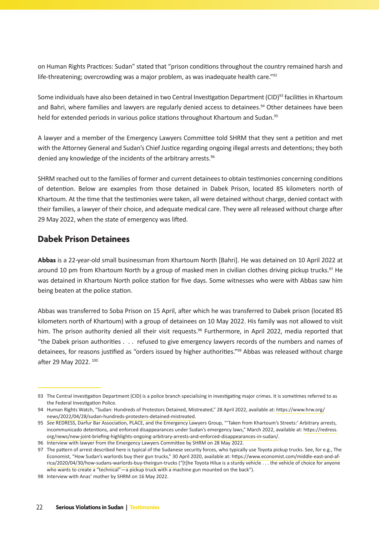on Human Rights Practices: Sudan" stated that "prison conditions throughout the country remained harsh and life-threatening; overcrowding was a major problem, as was inadequate health care."<sup>92</sup>

Some individuals have also been detained in two Central Investigation Department (CID)<sup>93</sup> facilities in Khartoum and Bahri, where families and lawyers are regularly denied access to detainees.<sup>94</sup> Other detainees have been held for extended periods in various police stations throughout Khartoum and Sudan.<sup>95</sup>

A lawyer and a member of the Emergency Lawyers Committee told SHRM that they sent a petition and met with the Attorney General and Sudan's Chief Justice regarding ongoing illegal arrests and detentions; they both denied any knowledge of the incidents of the arbitrary arrests.<sup>96</sup>

SHRM reached out to the families of former and current detainees to obtain testimonies concerning conditions of detention. Below are examples from those detained in Dabek Prison, located 85 kilometers north of Khartoum. At the time that the testimonies were taken, all were detained without charge, denied contact with their families, a lawyer of their choice, and adequate medical care. They were all released without charge after 29 May 2022, when the state of emergency was lifted.

### **Dabek Prison Detainees**

**Abbas** is a 22-year-old small businessman from Khartoum North [Bahri]. He was detained on 10 April 2022 at around 10 pm from Khartoum North by a group of masked men in civilian clothes driving pickup trucks.<sup>97</sup> He was detained in Khartoum North police station for five days. Some witnesses who were with Abbas saw him being beaten at the police station.

Abbas was transferred to Soba Prison on 15 April, after which he was transferred to Dabek prison (located 85 kilometers north of Khartoum) with a group of detainees on 10 May 2022. His family was not allowed to visit him. The prison authority denied all their visit requests.<sup>98</sup> Furthermore, in April 2022, media reported that "the Dabek prison authorities . . . refused to give emergency lawyers records of the numbers and names of detainees, for reasons justified as "orders issued by higher authorities."99 Abbas was released without charge after 29 May 2022. 100

<sup>93</sup> The Central Investigation Department (CID) is a police branch specialising in investigating major crimes. It is sometimes referred to as the Federal Investigation Police.

<sup>94</sup> Human Rights Watch, "Sudan: Hundreds of Protestors Detained, Mistreated," 28 April 2022, available at: [https://www.hrw.org/](https://www.hrw.org/news/2022/04/28/sudan-hundreds-protesters-detained-mistreated) [news/2022/04/28/sudan-hundreds-protesters-detained-mistreated](https://www.hrw.org/news/2022/04/28/sudan-hundreds-protesters-detained-mistreated).

<sup>95</sup> *See* REDRESS, Darfur Bar Association, PLACE, and the Emergency Lawyers Group, "'Taken from Khartoum's Streets:' Arbitrary arrests, incommunicado detentions, and enforced disappearances under Sudan's emergency laws," March 2022, available at: [https://redress.](https://redress.org/news/new-joint-briefing-highlights-ongoing-arbitrary-arrests-and-enforced-disappearances-in-sudan/) [org/news/new-joint-briefing-highlights-ongoing-arbitrary-arrests-and-enforced-disappearances-in-sudan/](https://redress.org/news/new-joint-briefing-highlights-ongoing-arbitrary-arrests-and-enforced-disappearances-in-sudan/).

<sup>96</sup> Interview with lawyer from the Emergency Lawyers Committee by SHRM on 28 May 2022.

<sup>97</sup> The pattern of arrest described here is typical of the Sudanese security forces, who typically use Toyota pickup trucks. See, for e.g., The Economist, "How Sudan's warlords buy their gun trucks," 30 April 2020, available at: [https://www.economist.com/middle-east-and-af](https://www.economist.com/middle-east-and-africa/2020/04/30/how-sudans-warlords-buy-their-gun-trucks)[rica/2020/04/30/how-sudans-warlords-buy-theirgun-trucks](https://www.economist.com/middle-east-and-africa/2020/04/30/how-sudans-warlords-buy-their-gun-trucks) ("[t]he Toyota Hilux is a sturdy vehicle . . . the vehicle of choice for anyone who wants to create a "technical"—a pickup truck with a machine gun mounted on the back").

<sup>98</sup> Interview with Anas' mother by SHRM on 16 May 2022.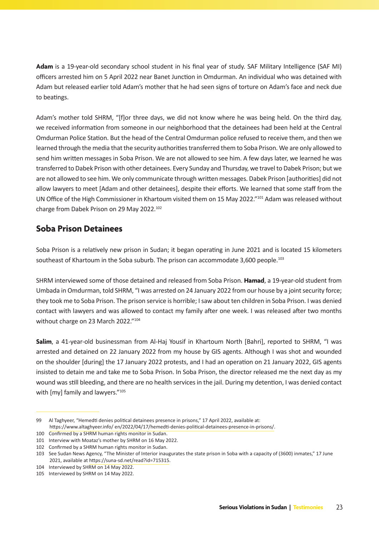**Adam** is a 19-year-old secondary school student in his final year of study. SAF Military Intelligence (SAF MI) officers arrested him on 5 April 2022 near Banet Junction in Omdurman. An individual who was detained with Adam but released earlier told Adam's mother that he had seen signs of torture on Adam's face and neck due to beatings.

Adam's mother told SHRM, "[f]or three days, we did not know where he was being held. On the third day, we received information from someone in our neighborhood that the detainees had been held at the Central Omdurman Police Station. But the head of the Central Omdurman police refused to receive them, and then we learned through the media that the security authorities transferred them to Soba Prison. We are only allowed to send him written messages in Soba Prison. We are not allowed to see him. A few days later, we learned he was transferred to Dabek Prison with other detainees. Every Sunday and Thursday, we travel to Dabek Prison; but we are not allowed to see him. We only communicate through written messages. Dabek Prison [authorities] did not allow lawyers to meet [Adam and other detainees], despite their efforts. We learned that some staff from the UN Office of the High Commissioner in Khartoum visited them on 15 May 2022."101 Adam was released without charge from Dabek Prison on 29 May 2022.102

### **Soba Prison Detainees**

Soba Prison is a relatively new prison in Sudan; it began operating in June 2021 and is located 15 kilometers southeast of Khartoum in the Soba suburb. The prison can accommodate 3,600 people.<sup>103</sup>

SHRM interviewed some of those detained and released from Soba Prison. **Hamad**, a 19-year-old student from Umbada in Omdurman, told SHRM, "I was arrested on 24 January 2022 from our house by a joint security force; they took me to Soba Prison. The prison service is horrible; I saw about ten children in Soba Prison. I was denied contact with lawyers and was allowed to contact my family after one week. I was released after two months without charge on 23 March 2022."104

**Salim**, a 41-year-old businessman from Al-Haj Yousif in Khartoum North [Bahri], reported to SHRM, "I was arrested and detained on 22 January 2022 from my house by GIS agents. Although I was shot and wounded on the shoulder [during] the 17 January 2022 protests, and I had an operation on 21 January 2022, GIS agents insisted to detain me and take me to Soba Prison. In Soba Prison, the director released me the next day as my wound was still bleeding, and there are no health services in the jail. During my detention, I was denied contact with [my] family and lawyers."<sup>105</sup>

<sup>99</sup> Al Taghyeer, "Hemedti denies political detainees presence in prisons," 17 April 2022, available at: [https://www.altaghyeer.info/ en/2022/04/17/hemedti-denies-political-detainees-presence-in-prisons/.](https://www.altaghyeer.info/en/2022/04/17/hemedti-denies-political-detainees-presence-in-prisons/)

<sup>100</sup> Confirmed by a SHRM human rights monitor in Sudan.

<sup>101</sup> Interview with Moataz's mother by SHRM on 16 May 2022.

<sup>102</sup> Confirmed by a SHRM human rights monitor in Sudan.

<sup>103</sup> See Sudan News Agency, "The Minister of Interior inaugurates the state prison in Soba with a capacity of (3600) inmates," 17 June 2021, available at<https://suna-sd.net/read?id=715315>.

<sup>104</sup> Interviewed by SHRM on 14 May 2022.

<sup>105</sup> Interviewed by SHRM on 14 May 2022.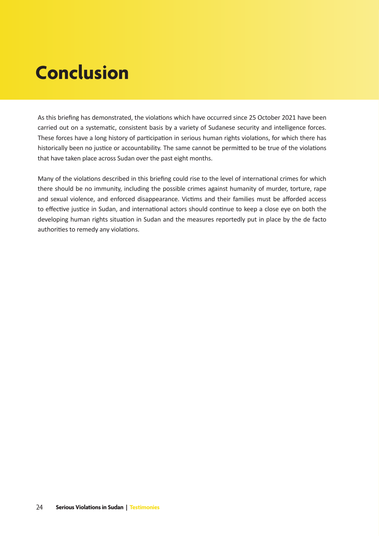# **Conclusion**

As this briefing has demonstrated, the violations which have occurred since 25 October 2021 have been carried out on a systematic, consistent basis by a variety of Sudanese security and intelligence forces. These forces have a long history of participation in serious human rights violations, for which there has historically been no justice or accountability. The same cannot be permitted to be true of the violations that have taken place across Sudan over the past eight months.

Many of the violations described in this briefing could rise to the level of international crimes for which there should be no immunity, including the possible crimes against humanity of murder, torture, rape and sexual violence, and enforced disappearance. Victims and their families must be afforded access to effective justice in Sudan, and international actors should continue to keep a close eye on both the developing human rights situation in Sudan and the measures reportedly put in place by the de facto authorities to remedy any violations.